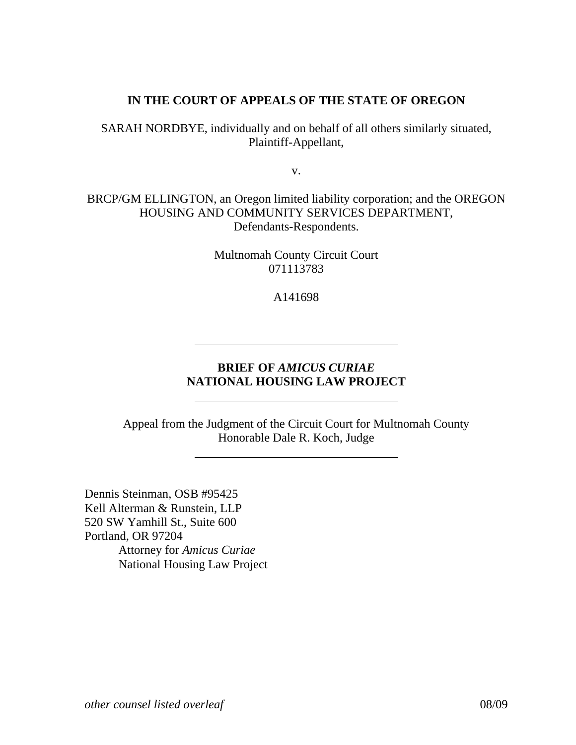# **IN THE COURT OF APPEALS OF THE STATE OF OREGON**

SARAH NORDBYE, individually and on behalf of all others similarly situated, Plaintiff-Appellant,

v.

BRCP/GM ELLINGTON, an Oregon limited liability corporation; and the OREGON HOUSING AND COMMUNITY SERVICES DEPARTMENT, Defendants-Respondents.

> Multnomah County Circuit Court 071113783

> > A141698

# **BRIEF OF** *AMICUS CURIAE*  **NATIONAL HOUSING LAW PROJECT**

Appeal from the Judgment of the Circuit Court for Multnomah County Honorable Dale R. Koch, Judge

Dennis Steinman, OSB #95425 Kell Alterman & Runstein, LLP 520 SW Yamhill St., Suite 600 Portland, OR 97204 Attorney for *Amicus Curiae* National Housing Law Project

 $\overline{a}$ 

l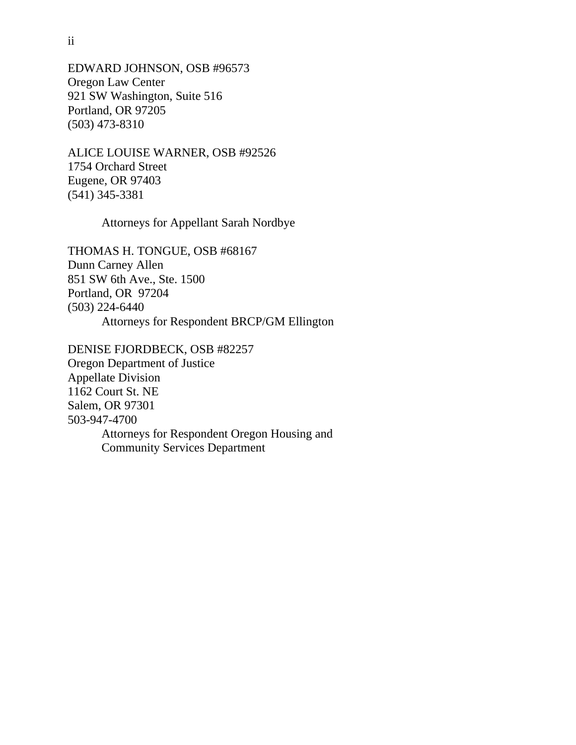EDWARD JOHNSON, OSB #96573 Oregon Law Center 921 SW Washington, Suite 516 Portland, OR 97205 (503) 473-8310

ALICE LOUISE WARNER, OSB #92526 1754 Orchard Street Eugene, OR 97403 (541) 345-3381

Attorneys for Appellant Sarah Nordbye

THOMAS H. TONGUE, OSB #68167 Dunn Carney Allen 851 SW 6th Ave., Ste. 1500 Portland, OR 97204 (503) 224-6440 Attorneys for Respondent BRCP/GM Ellington

DENISE FJORDBECK, OSB #82257 Oregon Department of Justice Appellate Division 1162 Court St. NE Salem, OR 97301 503-947-4700 Attorneys for Respondent Oregon Housing and Community Services Department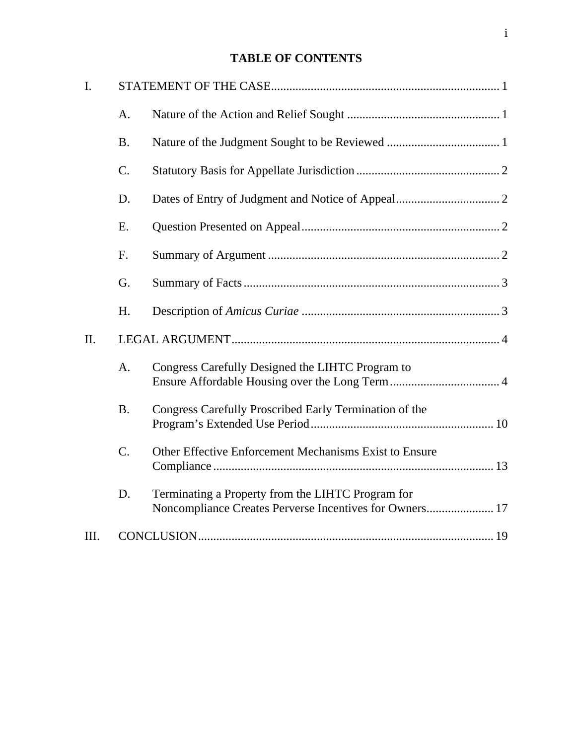# **TABLE OF CONTENTS**

| I.  |             |                                                                                                              |
|-----|-------------|--------------------------------------------------------------------------------------------------------------|
|     | A.          |                                                                                                              |
|     | <b>B.</b>   |                                                                                                              |
|     | C.          |                                                                                                              |
|     | D.          |                                                                                                              |
|     | E.          |                                                                                                              |
|     | F.          |                                                                                                              |
|     | G.          |                                                                                                              |
|     | H.          |                                                                                                              |
| II. |             |                                                                                                              |
|     | A.          | Congress Carefully Designed the LIHTC Program to                                                             |
|     | <b>B.</b>   | Congress Carefully Proscribed Early Termination of the                                                       |
|     | $C_{\cdot}$ | Other Effective Enforcement Mechanisms Exist to Ensure                                                       |
|     | D.          | Terminating a Property from the LIHTC Program for<br>Noncompliance Creates Perverse Incentives for Owners 17 |
| Ш.  |             |                                                                                                              |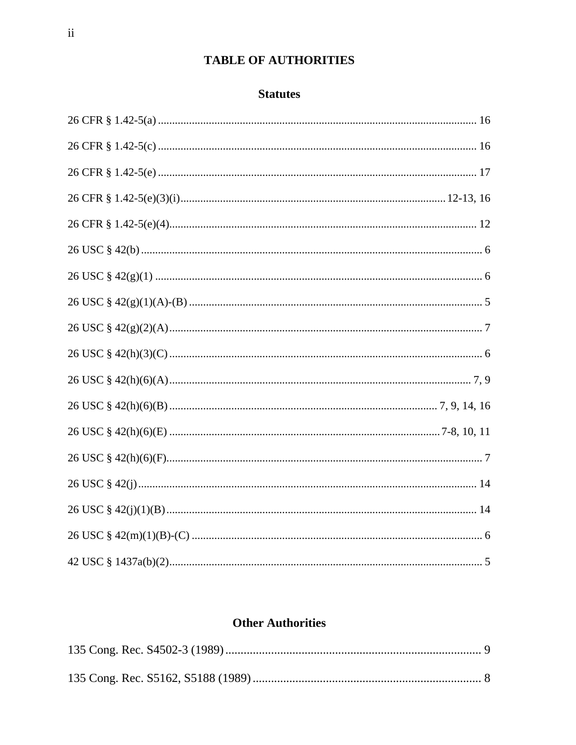# TABLE OF AUTHORITIES

## **Statutes**

# **Other Authorities**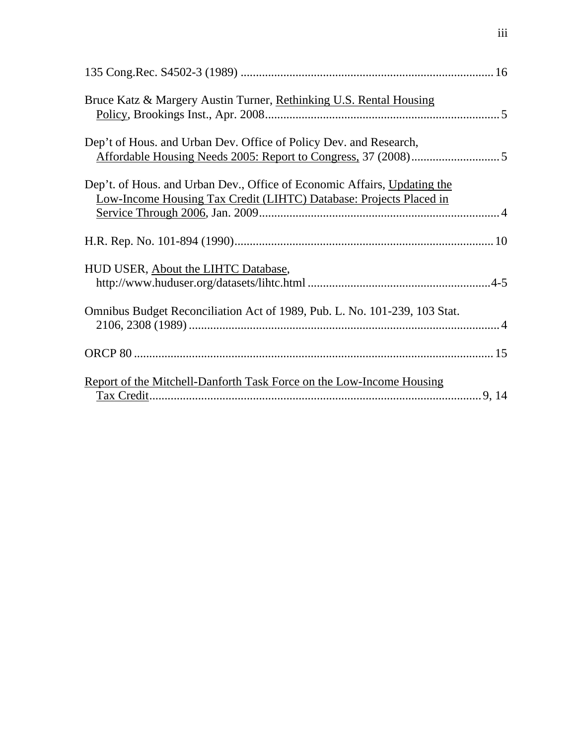| Bruce Katz & Margery Austin Turner, Rethinking U.S. Rental Housing                                                                             |
|------------------------------------------------------------------------------------------------------------------------------------------------|
| Dep't of Hous. and Urban Dev. Office of Policy Dev. and Research,                                                                              |
| Dep't. of Hous. and Urban Dev., Office of Economic Affairs, Updating the<br>Low-Income Housing Tax Credit (LIHTC) Database: Projects Placed in |
|                                                                                                                                                |
| HUD USER, About the LIHTC Database,                                                                                                            |
| Omnibus Budget Reconciliation Act of 1989, Pub. L. No. 101-239, 103 Stat.                                                                      |
|                                                                                                                                                |
| Report of the Mitchell-Danforth Task Force on the Low-Income Housing                                                                           |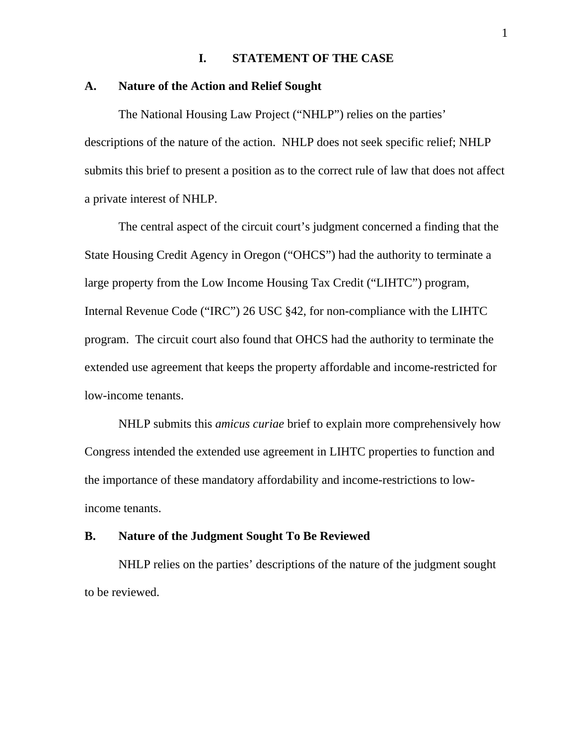### **I. STATEMENT OF THE CASE**

#### **A. Nature of the Action and Relief Sought**

 The National Housing Law Project ("NHLP") relies on the parties' descriptions of the nature of the action. NHLP does not seek specific relief; NHLP submits this brief to present a position as to the correct rule of law that does not affect a private interest of NHLP.

The central aspect of the circuit court's judgment concerned a finding that the State Housing Credit Agency in Oregon ("OHCS") had the authority to terminate a large property from the Low Income Housing Tax Credit ("LIHTC") program, Internal Revenue Code ("IRC") 26 USC §42, for non-compliance with the LIHTC program. The circuit court also found that OHCS had the authority to terminate the extended use agreement that keeps the property affordable and income-restricted for low-income tenants.

NHLP submits this *amicus curiae* brief to explain more comprehensively how Congress intended the extended use agreement in LIHTC properties to function and the importance of these mandatory affordability and income-restrictions to lowincome tenants.

## **B. Nature of the Judgment Sought To Be Reviewed**

NHLP relies on the parties' descriptions of the nature of the judgment sought to be reviewed.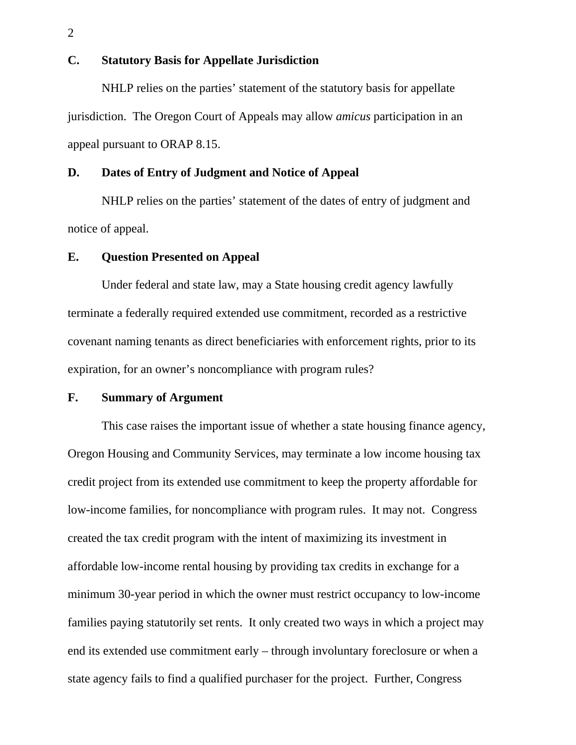## **C. Statutory Basis for Appellate Jurisdiction**

 NHLP relies on the parties' statement of the statutory basis for appellate jurisdiction. The Oregon Court of Appeals may allow *amicus* participation in an appeal pursuant to ORAP 8.15.

## **D. Dates of Entry of Judgment and Notice of Appeal**

 NHLP relies on the parties' statement of the dates of entry of judgment and notice of appeal.

#### **E. Question Presented on Appeal**

Under federal and state law, may a State housing credit agency lawfully terminate a federally required extended use commitment, recorded as a restrictive covenant naming tenants as direct beneficiaries with enforcement rights, prior to its expiration, for an owner's noncompliance with program rules?

#### **F. Summary of Argument**

This case raises the important issue of whether a state housing finance agency, Oregon Housing and Community Services, may terminate a low income housing tax credit project from its extended use commitment to keep the property affordable for low-income families, for noncompliance with program rules. It may not. Congress created the tax credit program with the intent of maximizing its investment in affordable low-income rental housing by providing tax credits in exchange for a minimum 30-year period in which the owner must restrict occupancy to low-income families paying statutorily set rents. It only created two ways in which a project may end its extended use commitment early – through involuntary foreclosure or when a state agency fails to find a qualified purchaser for the project. Further, Congress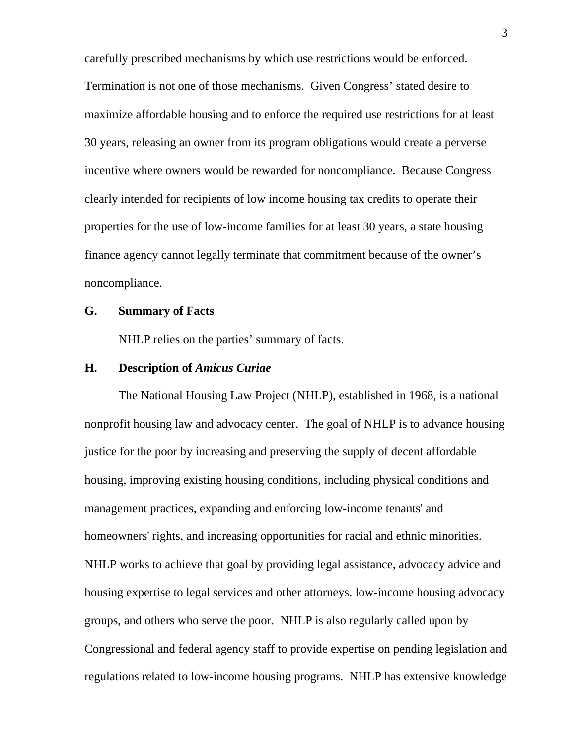carefully prescribed mechanisms by which use restrictions would be enforced. Termination is not one of those mechanisms. Given Congress' stated desire to maximize affordable housing and to enforce the required use restrictions for at least 30 years, releasing an owner from its program obligations would create a perverse incentive where owners would be rewarded for noncompliance. Because Congress clearly intended for recipients of low income housing tax credits to operate their properties for the use of low-income families for at least 30 years, a state housing finance agency cannot legally terminate that commitment because of the owner's noncompliance.

#### **G. Summary of Facts**

NHLP relies on the parties' summary of facts.

## **H. Description of** *Amicus Curiae*

The National Housing Law Project (NHLP), established in 1968, is a national nonprofit housing law and advocacy center. The goal of NHLP is to advance housing justice for the poor by increasing and preserving the supply of decent affordable housing, improving existing housing conditions, including physical conditions and management practices, expanding and enforcing low-income tenants' and homeowners' rights, and increasing opportunities for racial and ethnic minorities. NHLP works to achieve that goal by providing legal assistance, advocacy advice and housing expertise to legal services and other attorneys, low-income housing advocacy groups, and others who serve the poor. NHLP is also regularly called upon by Congressional and federal agency staff to provide expertise on pending legislation and regulations related to low-income housing programs. NHLP has extensive knowledge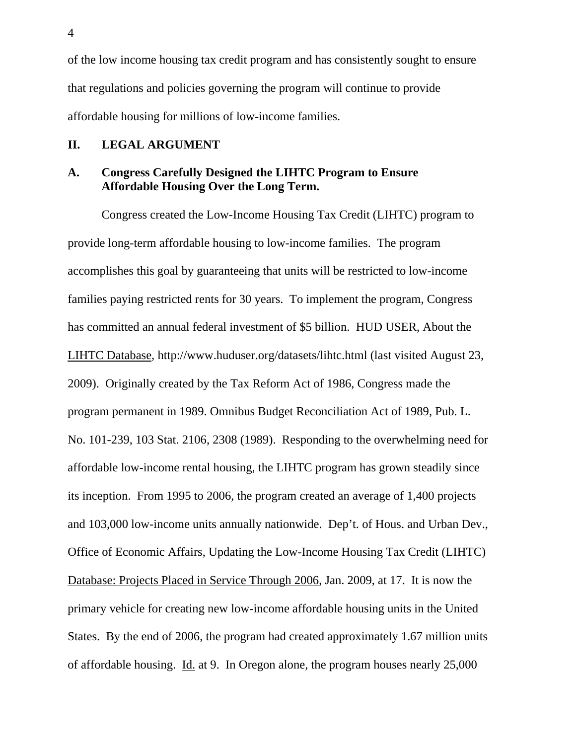of the low income housing tax credit program and has consistently sought to ensure that regulations and policies governing the program will continue to provide affordable housing for millions of low-income families.

### **II. LEGAL ARGUMENT**

# **A. Congress Carefully Designed the LIHTC Program to Ensure Affordable Housing Over the Long Term.**

Congress created the Low-Income Housing Tax Credit (LIHTC) program to provide long-term affordable housing to low-income families. The program accomplishes this goal by guaranteeing that units will be restricted to low-income families paying restricted rents for 30 years. To implement the program, Congress has committed an annual federal investment of \$5 billion. HUD USER, About the LIHTC Database, http://www.huduser.org/datasets/lihtc.html (last visited August 23, 2009). Originally created by the Tax Reform Act of 1986, Congress made the program permanent in 1989. Omnibus Budget Reconciliation Act of 1989, Pub. L. No. 101-239, 103 Stat. 2106, 2308 (1989). Responding to the overwhelming need for affordable low-income rental housing, the LIHTC program has grown steadily since its inception. From 1995 to 2006, the program created an average of 1,400 projects and 103,000 low-income units annually nationwide. Dep't. of Hous. and Urban Dev., Office of Economic Affairs, Updating the Low-Income Housing Tax Credit (LIHTC) Database: Projects Placed in Service Through 2006, Jan. 2009, at 17. It is now the primary vehicle for creating new low-income affordable housing units in the United States. By the end of 2006, the program had created approximately 1.67 million units of affordable housing. Id. at 9. In Oregon alone, the program houses nearly 25,000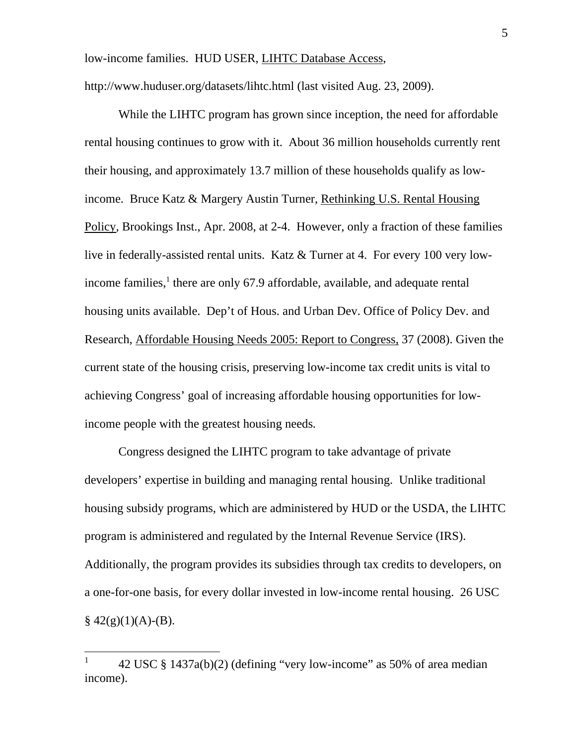low-income families. HUD USER, LIHTC Database Access,

http://www.huduser.org/datasets/lihtc.html (last visited Aug. 23, 2009).

While the LIHTC program has grown since inception, the need for affordable rental housing continues to grow with it. About 36 million households currently rent their housing, and approximately 13.7 million of these households qualify as lowincome. Bruce Katz & Margery Austin Turner, Rethinking U.S. Rental Housing Policy, Brookings Inst., Apr. 2008, at 2-4. However, only a fraction of these families live in federally-assisted rental units. Katz & Turner at 4. For every 100 very lowincome families,<sup>1</sup> there are only 67.9 affordable, available, and adequate rental housing units available. Dep't of Hous. and Urban Dev. Office of Policy Dev. and Research, Affordable Housing Needs 2005: Report to Congress, 37 (2008). Given the current state of the housing crisis, preserving low-income tax credit units is vital to achieving Congress' goal of increasing affordable housing opportunities for lowincome people with the greatest housing needs.

Congress designed the LIHTC program to take advantage of private developers' expertise in building and managing rental housing. Unlike traditional housing subsidy programs, which are administered by HUD or the USDA, the LIHTC program is administered and regulated by the Internal Revenue Service (IRS). Additionally, the program provides its subsidies through tax credits to developers, on a one-for-one basis, for every dollar invested in low-income rental housing. 26 USC  $\S$  42(g)(1)(A)-(B).

<sup>1</sup> 42 USC § 1437a(b)(2) (defining "very low-income" as 50% of area median income).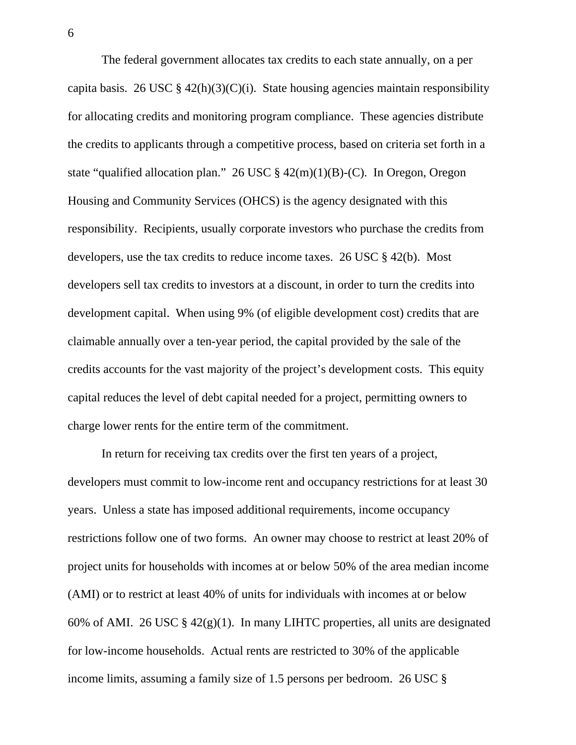The federal government allocates tax credits to each state annually, on a per capita basis. 26 USC  $\S$  42(h)(3)(C)(i). State housing agencies maintain responsibility for allocating credits and monitoring program compliance. These agencies distribute the credits to applicants through a competitive process, based on criteria set forth in a state "qualified allocation plan." 26 USC  $\S$  42(m)(1)(B)-(C). In Oregon, Oregon Housing and Community Services (OHCS) is the agency designated with this responsibility. Recipients, usually corporate investors who purchase the credits from developers, use the tax credits to reduce income taxes. 26 USC § 42(b). Most developers sell tax credits to investors at a discount, in order to turn the credits into development capital. When using 9% (of eligible development cost) credits that are claimable annually over a ten-year period, the capital provided by the sale of the credits accounts for the vast majority of the project's development costs. This equity capital reduces the level of debt capital needed for a project, permitting owners to charge lower rents for the entire term of the commitment.

In return for receiving tax credits over the first ten years of a project, developers must commit to low-income rent and occupancy restrictions for at least 30 years. Unless a state has imposed additional requirements, income occupancy restrictions follow one of two forms. An owner may choose to restrict at least 20% of project units for households with incomes at or below 50% of the area median income (AMI) or to restrict at least 40% of units for individuals with incomes at or below 60% of AMI. 26 USC  $\S$  42(g)(1). In many LIHTC properties, all units are designated for low-income households. Actual rents are restricted to 30% of the applicable income limits, assuming a family size of 1.5 persons per bedroom. 26 USC §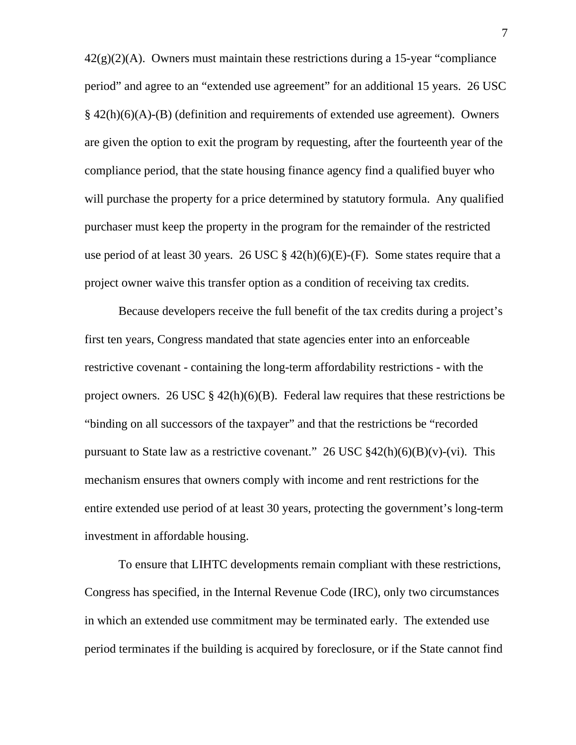$42(g)(2)(A)$ . Owners must maintain these restrictions during a 15-year "compliance" period" and agree to an "extended use agreement" for an additional 15 years. 26 USC  $§$  42(h)(6)(A)-(B) (definition and requirements of extended use agreement). Owners are given the option to exit the program by requesting, after the fourteenth year of the compliance period, that the state housing finance agency find a qualified buyer who will purchase the property for a price determined by statutory formula. Any qualified purchaser must keep the property in the program for the remainder of the restricted use period of at least 30 years. 26 USC  $\S$  42(h)(6)(E)-(F). Some states require that a project owner waive this transfer option as a condition of receiving tax credits.

Because developers receive the full benefit of the tax credits during a project's first ten years, Congress mandated that state agencies enter into an enforceable restrictive covenant - containing the long-term affordability restrictions - with the project owners. 26 USC  $\S$  42(h)(6)(B). Federal law requires that these restrictions be "binding on all successors of the taxpayer" and that the restrictions be "recorded pursuant to State law as a restrictive covenant." 26 USC  $\frac{242(h)(6)(B)(v)}{2h}$ . This mechanism ensures that owners comply with income and rent restrictions for the entire extended use period of at least 30 years, protecting the government's long-term investment in affordable housing.

To ensure that LIHTC developments remain compliant with these restrictions, Congress has specified, in the Internal Revenue Code (IRC), only two circumstances in which an extended use commitment may be terminated early. The extended use period terminates if the building is acquired by foreclosure, or if the State cannot find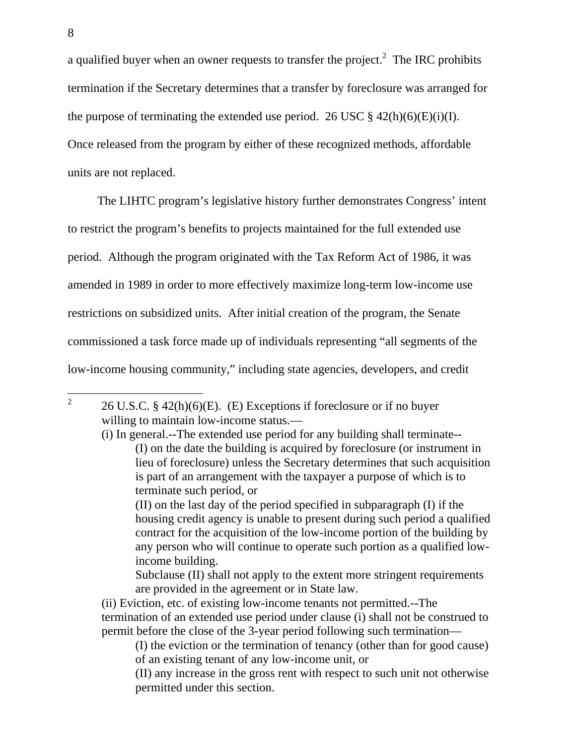a qualified buyer when an owner requests to transfer the project.<sup>2</sup> The IRC prohibits termination if the Secretary determines that a transfer by foreclosure was arranged for the purpose of terminating the extended use period. 26 USC  $\S$  42(h)(6)(E)(i)(I). Once released from the program by either of these recognized methods, affordable units are not replaced.

The LIHTC program's legislative history further demonstrates Congress' intent to restrict the program's benefits to projects maintained for the full extended use period. Although the program originated with the Tax Reform Act of 1986, it was amended in 1989 in order to more effectively maximize long-term low-income use restrictions on subsidized units. After initial creation of the program, the Senate commissioned a task force made up of individuals representing "all segments of the low-income housing community," including state agencies, developers, and credit

(II) on the last day of the period specified in subparagraph (I) if the housing credit agency is unable to present during such period a qualified contract for the acquisition of the low-income portion of the building by any person who will continue to operate such portion as a qualified lowincome building.

Subclause (II) shall not apply to the extent more stringent requirements are provided in the agreement or in State law.

(ii) Eviction, etc. of existing low-income tenants not permitted.--The termination of an extended use period under clause (i) shall not be construed to permit before the close of the 3-year period following such termination—

(I) the eviction or the termination of tenancy (other than for good cause) of an existing tenant of any low-income unit, or

(II) any increase in the gross rent with respect to such unit not otherwise permitted under this section.

<sup>2</sup> 26 U.S.C. § 42(h)(6)(E). (E) Exceptions if foreclosure or if no buyer willing to maintain low-income status.—

<sup>(</sup>i) In general.--The extended use period for any building shall terminate-- (I) on the date the building is acquired by foreclosure (or instrument in lieu of foreclosure) unless the Secretary determines that such acquisition is part of an arrangement with the taxpayer a purpose of which is to terminate such period, or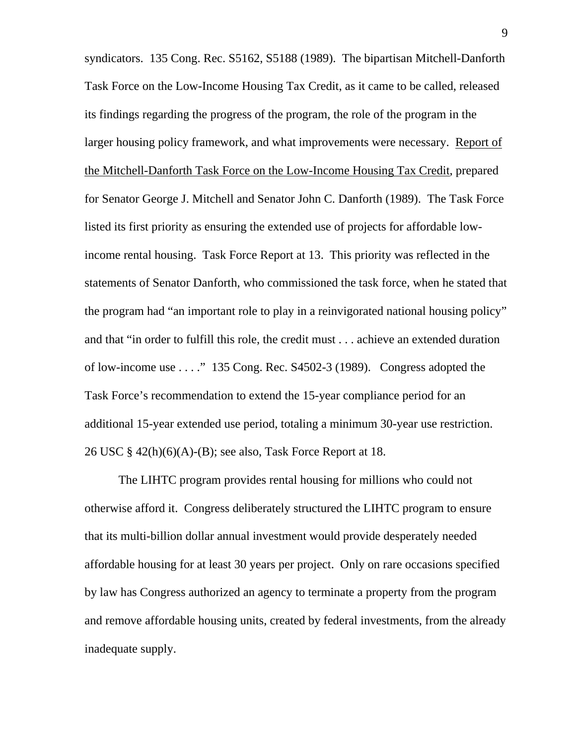syndicators. 135 Cong. Rec. S5162, S5188 (1989). The bipartisan Mitchell-Danforth Task Force on the Low-Income Housing Tax Credit, as it came to be called, released its findings regarding the progress of the program, the role of the program in the larger housing policy framework, and what improvements were necessary. Report of the Mitchell-Danforth Task Force on the Low-Income Housing Tax Credit, prepared for Senator George J. Mitchell and Senator John C. Danforth (1989). The Task Force listed its first priority as ensuring the extended use of projects for affordable lowincome rental housing. Task Force Report at 13. This priority was reflected in the statements of Senator Danforth, who commissioned the task force, when he stated that the program had "an important role to play in a reinvigorated national housing policy" and that "in order to fulfill this role, the credit must . . . achieve an extended duration of low-income use . . . ." 135 Cong. Rec. S4502-3 (1989). Congress adopted the Task Force's recommendation to extend the 15-year compliance period for an additional 15-year extended use period, totaling a minimum 30-year use restriction. 26 USC  $\S$  42(h)(6)(A)-(B); see also, Task Force Report at 18.

The LIHTC program provides rental housing for millions who could not otherwise afford it. Congress deliberately structured the LIHTC program to ensure that its multi-billion dollar annual investment would provide desperately needed affordable housing for at least 30 years per project. Only on rare occasions specified by law has Congress authorized an agency to terminate a property from the program and remove affordable housing units, created by federal investments, from the already inadequate supply.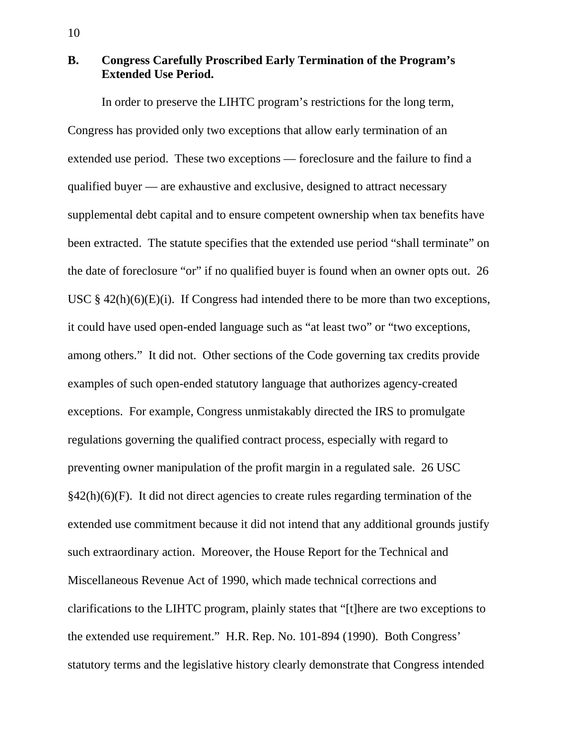# **B. Congress Carefully Proscribed Early Termination of the Program's Extended Use Period.**

In order to preserve the LIHTC program's restrictions for the long term, Congress has provided only two exceptions that allow early termination of an extended use period. These two exceptions — foreclosure and the failure to find a qualified buyer — are exhaustive and exclusive, designed to attract necessary supplemental debt capital and to ensure competent ownership when tax benefits have been extracted. The statute specifies that the extended use period "shall terminate" on the date of foreclosure "or" if no qualified buyer is found when an owner opts out. 26 USC  $\S$  42(h)(6)(E)(i). If Congress had intended there to be more than two exceptions, it could have used open-ended language such as "at least two" or "two exceptions, among others." It did not. Other sections of the Code governing tax credits provide examples of such open-ended statutory language that authorizes agency-created exceptions. For example, Congress unmistakably directed the IRS to promulgate regulations governing the qualified contract process, especially with regard to preventing owner manipulation of the profit margin in a regulated sale. 26 USC  $§42(h)(6)$ . It did not direct agencies to create rules regarding termination of the extended use commitment because it did not intend that any additional grounds justify such extraordinary action. Moreover, the House Report for the Technical and Miscellaneous Revenue Act of 1990, which made technical corrections and clarifications to the LIHTC program, plainly states that "[t]here are two exceptions to the extended use requirement." H.R. Rep. No. 101-894 (1990). Both Congress' statutory terms and the legislative history clearly demonstrate that Congress intended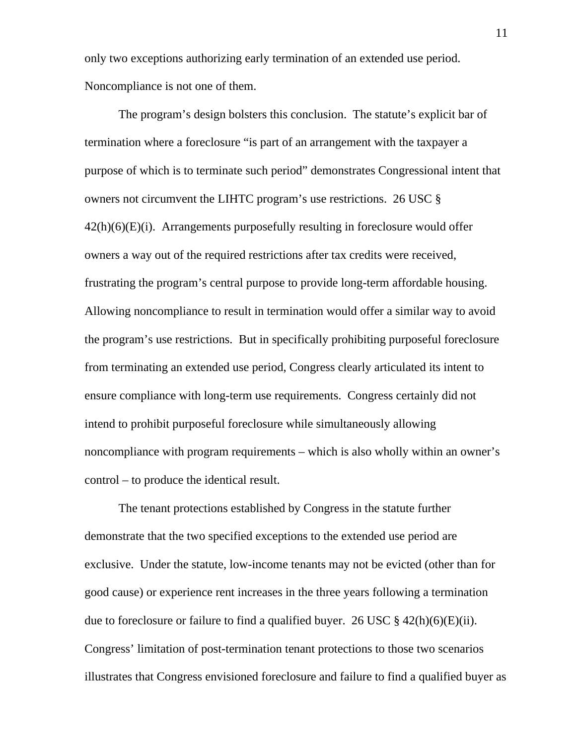only two exceptions authorizing early termination of an extended use period. Noncompliance is not one of them.

 The program's design bolsters this conclusion. The statute's explicit bar of termination where a foreclosure "is part of an arrangement with the taxpayer a purpose of which is to terminate such period" demonstrates Congressional intent that owners not circumvent the LIHTC program's use restrictions. 26 USC §  $42(h)(6)(E)(i)$ . Arrangements purposefully resulting in foreclosure would offer owners a way out of the required restrictions after tax credits were received, frustrating the program's central purpose to provide long-term affordable housing. Allowing noncompliance to result in termination would offer a similar way to avoid the program's use restrictions. But in specifically prohibiting purposeful foreclosure from terminating an extended use period, Congress clearly articulated its intent to ensure compliance with long-term use requirements. Congress certainly did not intend to prohibit purposeful foreclosure while simultaneously allowing noncompliance with program requirements – which is also wholly within an owner's control – to produce the identical result.

The tenant protections established by Congress in the statute further demonstrate that the two specified exceptions to the extended use period are exclusive. Under the statute, low-income tenants may not be evicted (other than for good cause) or experience rent increases in the three years following a termination due to foreclosure or failure to find a qualified buyer. 26 USC  $\S$  42(h)(6)(E)(ii). Congress' limitation of post-termination tenant protections to those two scenarios illustrates that Congress envisioned foreclosure and failure to find a qualified buyer as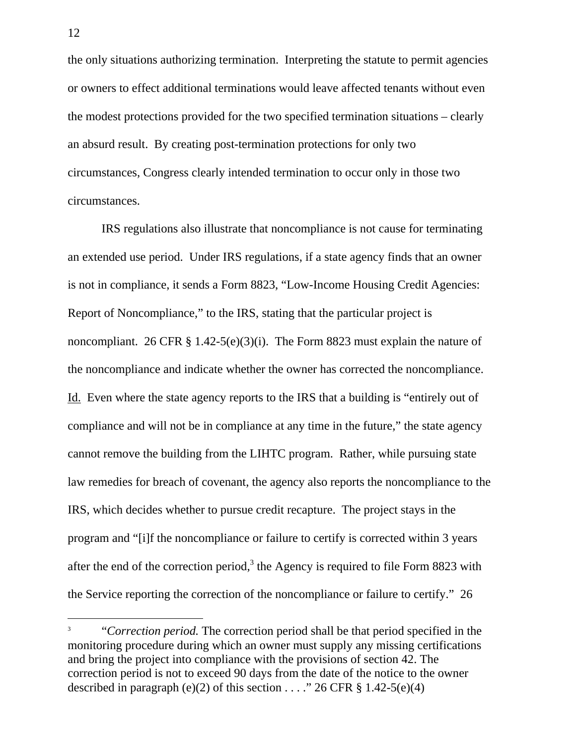the only situations authorizing termination. Interpreting the statute to permit agencies or owners to effect additional terminations would leave affected tenants without even the modest protections provided for the two specified termination situations – clearly an absurd result. By creating post-termination protections for only two circumstances, Congress clearly intended termination to occur only in those two circumstances.

IRS regulations also illustrate that noncompliance is not cause for terminating an extended use period. Under IRS regulations, if a state agency finds that an owner is not in compliance, it sends a Form 8823, "Low-Income Housing Credit Agencies: Report of Noncompliance," to the IRS, stating that the particular project is noncompliant. 26 CFR  $\S 1.42-5(e)(3)(i)$ . The Form 8823 must explain the nature of the noncompliance and indicate whether the owner has corrected the noncompliance. Id. Even where the state agency reports to the IRS that a building is "entirely out of compliance and will not be in compliance at any time in the future," the state agency cannot remove the building from the LIHTC program. Rather, while pursuing state law remedies for breach of covenant, the agency also reports the noncompliance to the IRS, which decides whether to pursue credit recapture. The project stays in the program and "[i]f the noncompliance or failure to certify is corrected within 3 years after the end of the correction period,<sup>3</sup> the Agency is required to file Form 8823 with the Service reporting the correction of the noncompliance or failure to certify." 26

<sup>3</sup> "*Correction period.* The correction period shall be that period specified in the monitoring procedure during which an owner must supply any missing certifications and bring the project into compliance with the provisions of section 42. The correction period is not to exceed 90 days from the date of the notice to the owner described in paragraph (e)(2) of this section . . . ." 26 CFR  $\S$  1.42-5(e)(4)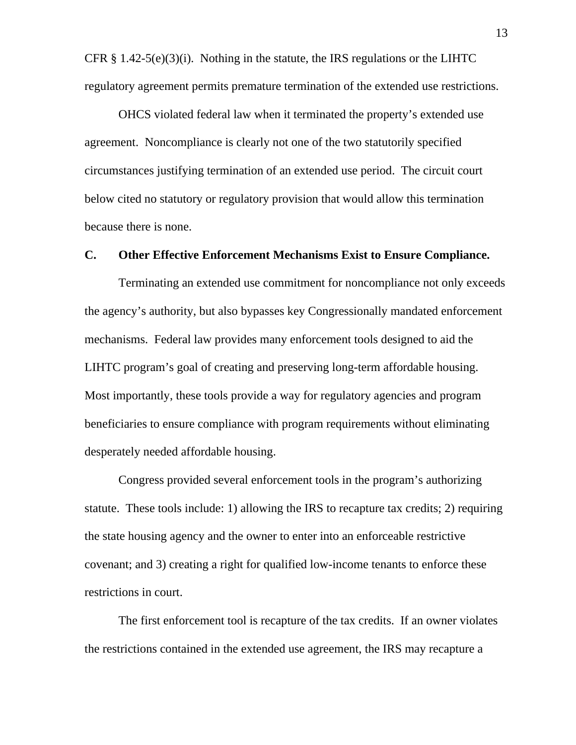CFR  $\S$  1.42-5(e)(3)(i). Nothing in the statute, the IRS regulations or the LIHTC regulatory agreement permits premature termination of the extended use restrictions.

OHCS violated federal law when it terminated the property's extended use agreement. Noncompliance is clearly not one of the two statutorily specified circumstances justifying termination of an extended use period. The circuit court below cited no statutory or regulatory provision that would allow this termination because there is none.

## **C. Other Effective Enforcement Mechanisms Exist to Ensure Compliance.**

Terminating an extended use commitment for noncompliance not only exceeds the agency's authority, but also bypasses key Congressionally mandated enforcement mechanisms. Federal law provides many enforcement tools designed to aid the LIHTC program's goal of creating and preserving long-term affordable housing. Most importantly, these tools provide a way for regulatory agencies and program beneficiaries to ensure compliance with program requirements without eliminating desperately needed affordable housing.

Congress provided several enforcement tools in the program's authorizing statute. These tools include: 1) allowing the IRS to recapture tax credits; 2) requiring the state housing agency and the owner to enter into an enforceable restrictive covenant; and 3) creating a right for qualified low-income tenants to enforce these restrictions in court.

The first enforcement tool is recapture of the tax credits. If an owner violates the restrictions contained in the extended use agreement, the IRS may recapture a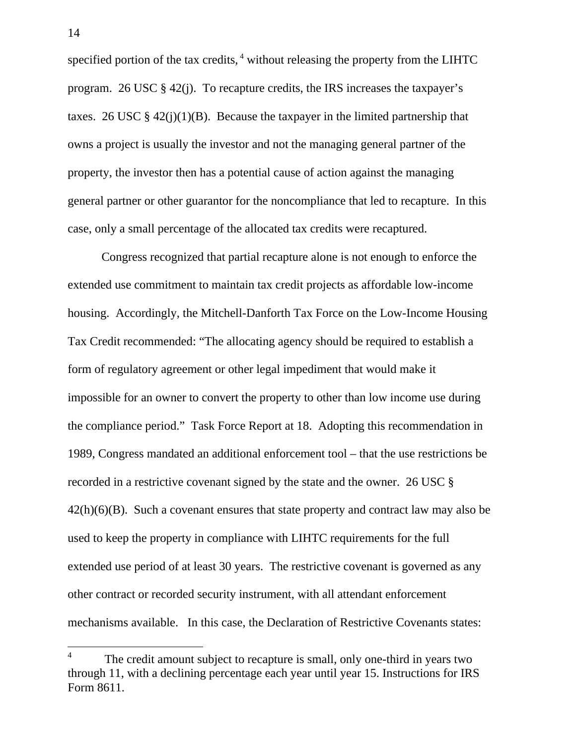specified portion of the tax credits,<sup>4</sup> without releasing the property from the LIHTC program. 26 USC § 42(j). To recapture credits, the IRS increases the taxpayer's taxes. 26 USC  $\S$  42(j)(1)(B). Because the taxpayer in the limited partnership that owns a project is usually the investor and not the managing general partner of the property, the investor then has a potential cause of action against the managing general partner or other guarantor for the noncompliance that led to recapture. In this case, only a small percentage of the allocated tax credits were recaptured.

Congress recognized that partial recapture alone is not enough to enforce the extended use commitment to maintain tax credit projects as affordable low-income housing. Accordingly, the Mitchell-Danforth Tax Force on the Low-Income Housing Tax Credit recommended: "The allocating agency should be required to establish a form of regulatory agreement or other legal impediment that would make it impossible for an owner to convert the property to other than low income use during the compliance period." Task Force Report at 18. Adopting this recommendation in 1989, Congress mandated an additional enforcement tool – that the use restrictions be recorded in a restrictive covenant signed by the state and the owner. 26 USC §  $42(h)(6)(B)$ . Such a covenant ensures that state property and contract law may also be used to keep the property in compliance with LIHTC requirements for the full extended use period of at least 30 years. The restrictive covenant is governed as any other contract or recorded security instrument, with all attendant enforcement mechanisms available. In this case, the Declaration of Restrictive Covenants states:

<sup>4</sup> The credit amount subject to recapture is small, only one-third in years two through 11, with a declining percentage each year until year 15. Instructions for IRS Form 8611.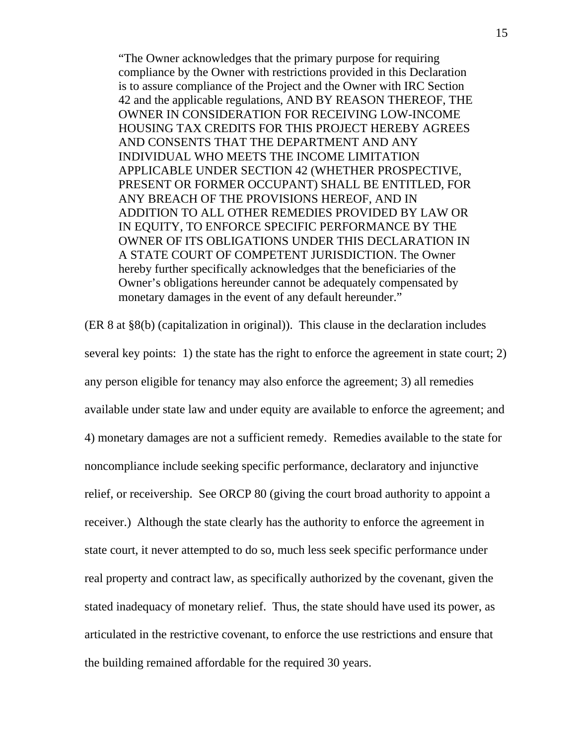"The Owner acknowledges that the primary purpose for requiring compliance by the Owner with restrictions provided in this Declaration is to assure compliance of the Project and the Owner with IRC Section 42 and the applicable regulations, AND BY REASON THEREOF, THE OWNER IN CONSIDERATION FOR RECEIVING LOW-INCOME HOUSING TAX CREDITS FOR THIS PROJECT HEREBY AGREES AND CONSENTS THAT THE DEPARTMENT AND ANY INDIVIDUAL WHO MEETS THE INCOME LIMITATION APPLICABLE UNDER SECTION 42 (WHETHER PROSPECTIVE, PRESENT OR FORMER OCCUPANT) SHALL BE ENTITLED, FOR ANY BREACH OF THE PROVISIONS HEREOF, AND IN ADDITION TO ALL OTHER REMEDIES PROVIDED BY LAW OR IN EQUITY, TO ENFORCE SPECIFIC PERFORMANCE BY THE OWNER OF ITS OBLIGATIONS UNDER THIS DECLARATION IN A STATE COURT OF COMPETENT JURISDICTION. The Owner hereby further specifically acknowledges that the beneficiaries of the Owner's obligations hereunder cannot be adequately compensated by monetary damages in the event of any default hereunder."

(ER 8 at §8(b) (capitalization in original)). This clause in the declaration includes several key points: 1) the state has the right to enforce the agreement in state court; 2) any person eligible for tenancy may also enforce the agreement; 3) all remedies available under state law and under equity are available to enforce the agreement; and 4) monetary damages are not a sufficient remedy. Remedies available to the state for noncompliance include seeking specific performance, declaratory and injunctive relief, or receivership. See ORCP 80 (giving the court broad authority to appoint a receiver.) Although the state clearly has the authority to enforce the agreement in state court, it never attempted to do so, much less seek specific performance under real property and contract law, as specifically authorized by the covenant, given the stated inadequacy of monetary relief. Thus, the state should have used its power, as articulated in the restrictive covenant, to enforce the use restrictions and ensure that the building remained affordable for the required 30 years.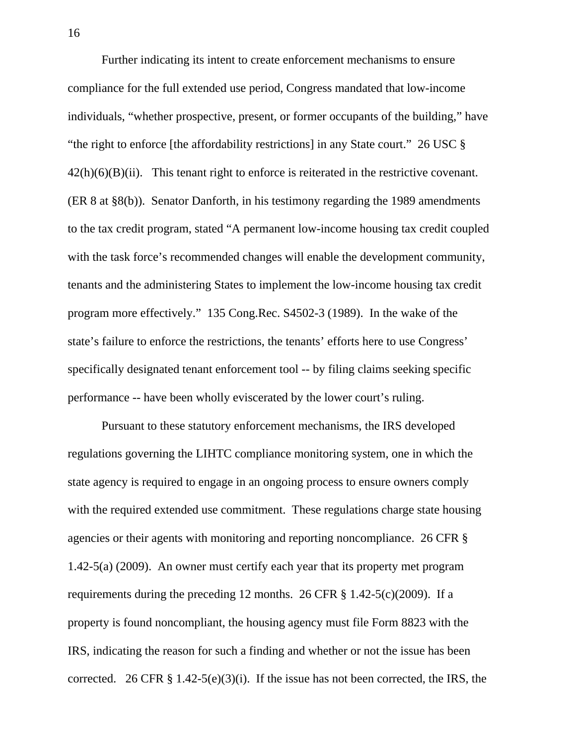Further indicating its intent to create enforcement mechanisms to ensure compliance for the full extended use period, Congress mandated that low-income individuals, "whether prospective, present, or former occupants of the building," have "the right to enforce [the affordability restrictions] in any State court." 26 USC §  $42(h)(6)(B)(ii)$ . This tenant right to enforce is reiterated in the restrictive covenant. (ER 8 at §8(b)). Senator Danforth, in his testimony regarding the 1989 amendments to the tax credit program, stated "A permanent low-income housing tax credit coupled with the task force's recommended changes will enable the development community, tenants and the administering States to implement the low-income housing tax credit program more effectively." 135 Cong.Rec. S4502-3 (1989). In the wake of the state's failure to enforce the restrictions, the tenants' efforts here to use Congress' specifically designated tenant enforcement tool -- by filing claims seeking specific performance -- have been wholly eviscerated by the lower court's ruling.

Pursuant to these statutory enforcement mechanisms, the IRS developed regulations governing the LIHTC compliance monitoring system, one in which the state agency is required to engage in an ongoing process to ensure owners comply with the required extended use commitment. These regulations charge state housing agencies or their agents with monitoring and reporting noncompliance. 26 CFR § 1.42-5(a) (2009). An owner must certify each year that its property met program requirements during the preceding 12 months. 26 CFR § 1.42-5(c)(2009). If a property is found noncompliant, the housing agency must file Form 8823 with the IRS, indicating the reason for such a finding and whether or not the issue has been corrected. 26 CFR  $\S 1.42-5(e)(3)(i)$ . If the issue has not been corrected, the IRS, the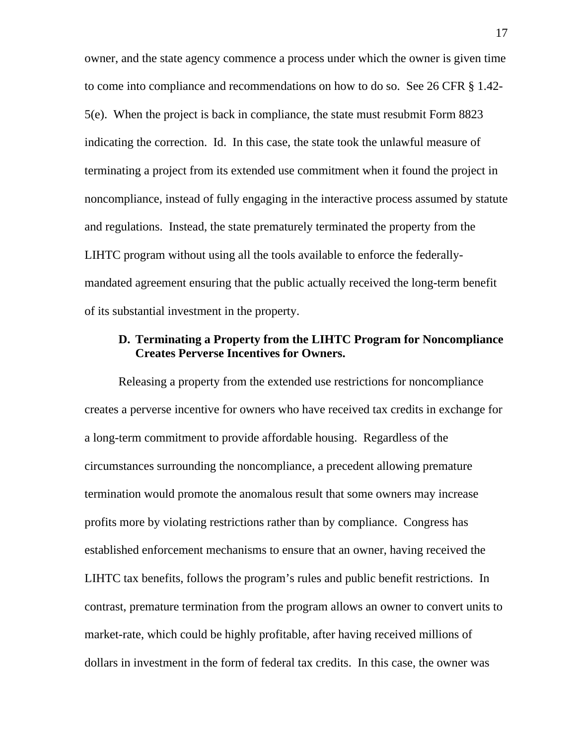owner, and the state agency commence a process under which the owner is given time to come into compliance and recommendations on how to do so. See 26 CFR § 1.42- 5(e). When the project is back in compliance, the state must resubmit Form 8823 indicating the correction. Id. In this case, the state took the unlawful measure of terminating a project from its extended use commitment when it found the project in noncompliance, instead of fully engaging in the interactive process assumed by statute and regulations. Instead, the state prematurely terminated the property from the LIHTC program without using all the tools available to enforce the federallymandated agreement ensuring that the public actually received the long-term benefit of its substantial investment in the property.

# **D. Terminating a Property from the LIHTC Program for Noncompliance Creates Perverse Incentives for Owners.**

Releasing a property from the extended use restrictions for noncompliance creates a perverse incentive for owners who have received tax credits in exchange for a long-term commitment to provide affordable housing. Regardless of the circumstances surrounding the noncompliance, a precedent allowing premature termination would promote the anomalous result that some owners may increase profits more by violating restrictions rather than by compliance. Congress has established enforcement mechanisms to ensure that an owner, having received the LIHTC tax benefits, follows the program's rules and public benefit restrictions. In contrast, premature termination from the program allows an owner to convert units to market-rate, which could be highly profitable, after having received millions of dollars in investment in the form of federal tax credits. In this case, the owner was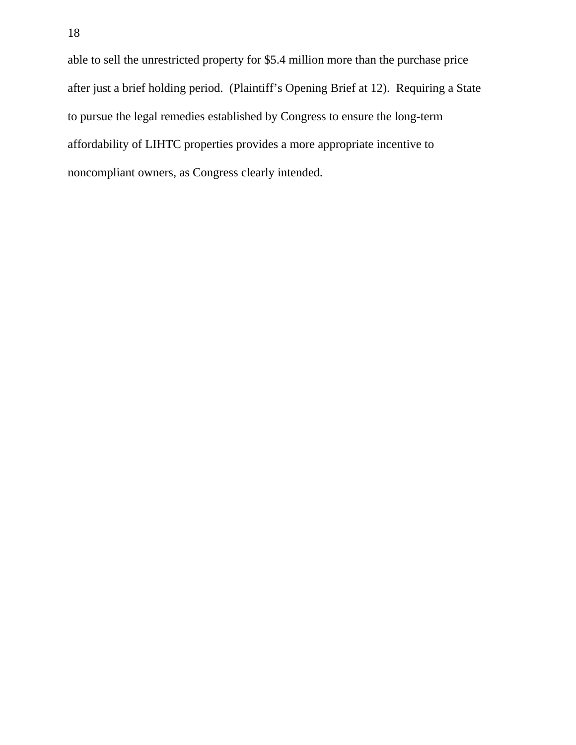able to sell the unrestricted property for \$5.4 million more than the purchase price after just a brief holding period. (Plaintiff's Opening Brief at 12). Requiring a State to pursue the legal remedies established by Congress to ensure the long-term affordability of LIHTC properties provides a more appropriate incentive to noncompliant owners, as Congress clearly intended.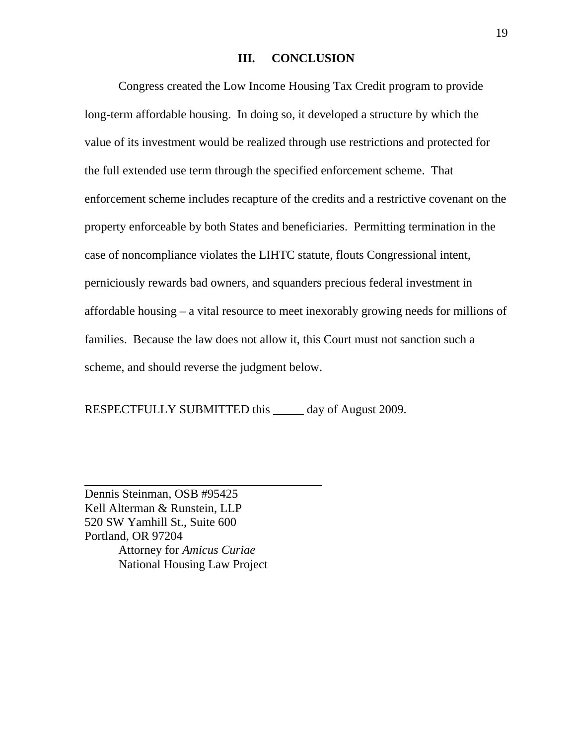#### **III. CONCLUSION**

Congress created the Low Income Housing Tax Credit program to provide long-term affordable housing. In doing so, it developed a structure by which the value of its investment would be realized through use restrictions and protected for the full extended use term through the specified enforcement scheme. That enforcement scheme includes recapture of the credits and a restrictive covenant on the property enforceable by both States and beneficiaries. Permitting termination in the case of noncompliance violates the LIHTC statute, flouts Congressional intent, perniciously rewards bad owners, and squanders precious federal investment in affordable housing – a vital resource to meet inexorably growing needs for millions of families. Because the law does not allow it, this Court must not sanction such a scheme, and should reverse the judgment below.

RESPECTFULLY SUBMITTED this day of August 2009.

l,

Dennis Steinman, OSB #95425 Kell Alterman & Runstein, LLP 520 SW Yamhill St., Suite 600 Portland, OR 97204 Attorney for *Amicus Curiae* National Housing Law Project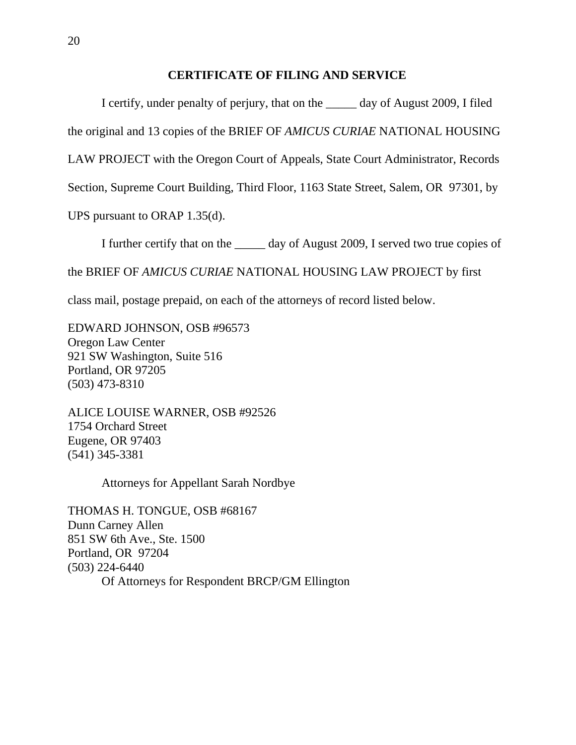## **CERTIFICATE OF FILING AND SERVICE**

 I certify, under penalty of perjury, that on the \_\_\_\_\_ day of August 2009, I filed the original and 13 copies of the BRIEF OF *AMICUS CURIAE* NATIONAL HOUSING LAW PROJECT with the Oregon Court of Appeals, State Court Administrator, Records Section, Supreme Court Building, Third Floor, 1163 State Street, Salem, OR 97301, by

UPS pursuant to ORAP 1.35(d).

I further certify that on the day of August 2009, I served two true copies of the BRIEF OF *AMICUS CURIAE* NATIONAL HOUSING LAW PROJECT by first

class mail, postage prepaid, on each of the attorneys of record listed below.

EDWARD JOHNSON, OSB #96573 Oregon Law Center 921 SW Washington, Suite 516 Portland, OR 97205 (503) 473-8310

ALICE LOUISE WARNER, OSB #92526 1754 Orchard Street Eugene, OR 97403 (541) 345-3381

Attorneys for Appellant Sarah Nordbye

THOMAS H. TONGUE, OSB #68167 Dunn Carney Allen 851 SW 6th Ave., Ste. 1500 Portland, OR 97204 (503) 224-6440 Of Attorneys for Respondent BRCP/GM Ellington